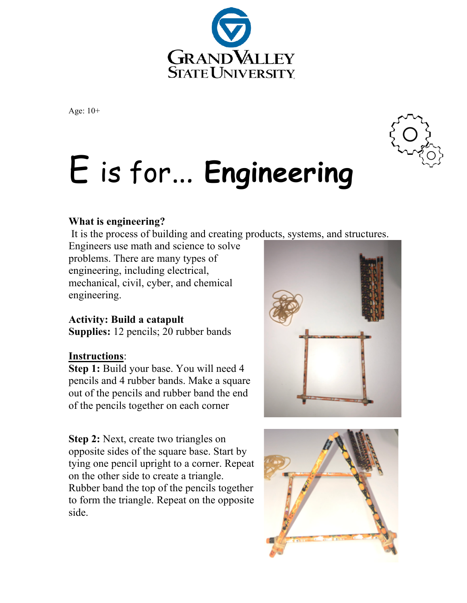

Age: 10+

# E is for… **Engineering**

## **What is engineering?**

It is the process of building and creating products, systems, and structures.

Engineers use math and science to solve problems. There are many types of engineering, including electrical, mechanical, civil, cyber, and chemical engineering.

## **Activity: Build a catapult**

**Supplies:** 12 pencils; 20 rubber bands

### **Instructions**:

**Step 1:** Build your base. You will need 4 pencils and 4 rubber bands. Make a square out of the pencils and rubber band the end of the pencils together on each corner

**Step 2:** Next, create two triangles on opposite sides of the square base. Start by tying one pencil upright to a corner. Repeat on the other side to create a triangle. Rubber band the top of the pencils together to form the triangle. Repeat on the opposite side.





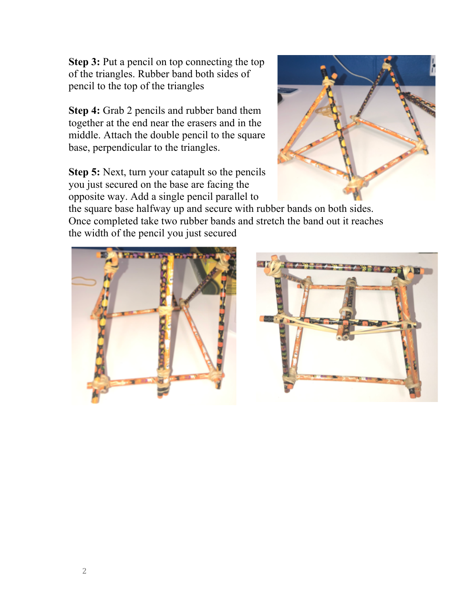**Step 3:** Put a pencil on top connecting the top of the triangles. Rubber band both sides of pencil to the top of the triangles

**Step 4:** Grab 2 pencils and rubber band them together at the end near the erasers and in the middle. Attach the double pencil to the square base, perpendicular to the triangles.

**Step 5:** Next, turn your catapult so the pencils you just secured on the base are facing the opposite way. Add a single pencil parallel to



the square base halfway up and secure with rubber bands on both sides. Once completed take two rubber bands and stretch the band out it reaches the width of the pencil you just secured